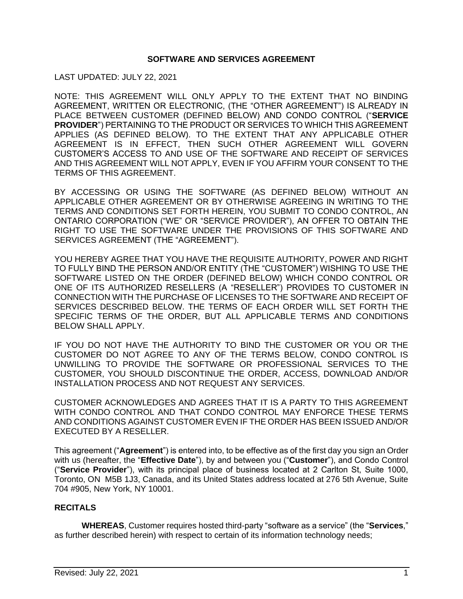### **SOFTWARE AND SERVICES AGREEMENT**

LAST UPDATED: JULY 22, 2021

NOTE: THIS AGREEMENT WILL ONLY APPLY TO THE EXTENT THAT NO BINDING AGREEMENT, WRITTEN OR ELECTRONIC, (THE "OTHER AGREEMENT") IS ALREADY IN PLACE BETWEEN CUSTOMER (DEFINED BELOW) AND CONDO CONTROL ("**SERVICE PROVIDER**") PERTAINING TO THE PRODUCT OR SERVICES TO WHICH THIS AGREEMENT APPLIES (AS DEFINED BELOW). TO THE EXTENT THAT ANY APPLICABLE OTHER AGREEMENT IS IN EFFECT, THEN SUCH OTHER AGREEMENT WILL GOVERN CUSTOMER'S ACCESS TO AND USE OF THE SOFTWARE AND RECEIPT OF SERVICES AND THIS AGREEMENT WILL NOT APPLY, EVEN IF YOU AFFIRM YOUR CONSENT TO THE TERMS OF THIS AGREEMENT.

BY ACCESSING OR USING THE SOFTWARE (AS DEFINED BELOW) WITHOUT AN APPLICABLE OTHER AGREEMENT OR BY OTHERWISE AGREEING IN WRITING TO THE TERMS AND CONDITIONS SET FORTH HEREIN, YOU SUBMIT TO CONDO CONTROL, AN ONTARIO CORPORATION ("WE" OR "SERVICE PROVIDER"), AN OFFER TO OBTAIN THE RIGHT TO USE THE SOFTWARE UNDER THE PROVISIONS OF THIS SOFTWARE AND SERVICES AGREEMENT (THE "AGREEMENT").

YOU HEREBY AGREE THAT YOU HAVE THE REQUISITE AUTHORITY, POWER AND RIGHT TO FULLY BIND THE PERSON AND/OR ENTITY (THE "CUSTOMER") WISHING TO USE THE SOFTWARE LISTED ON THE ORDER (DEFINED BELOW) WHICH CONDO CONTROL OR ONE OF ITS AUTHORIZED RESELLERS (A "RESELLER") PROVIDES TO CUSTOMER IN CONNECTION WITH THE PURCHASE OF LICENSES TO THE SOFTWARE AND RECEIPT OF SERVICES DESCRIBED BELOW. THE TERMS OF EACH ORDER WILL SET FORTH THE SPECIFIC TERMS OF THE ORDER, BUT ALL APPLICABLE TERMS AND CONDITIONS BELOW SHALL APPLY.

IF YOU DO NOT HAVE THE AUTHORITY TO BIND THE CUSTOMER OR YOU OR THE CUSTOMER DO NOT AGREE TO ANY OF THE TERMS BELOW, CONDO CONTROL IS UNWILLING TO PROVIDE THE SOFTWARE OR PROFESSIONAL SERVICES TO THE CUSTOMER, YOU SHOULD DISCONTINUE THE ORDER, ACCESS, DOWNLOAD AND/OR INSTALLATION PROCESS AND NOT REQUEST ANY SERVICES.

CUSTOMER ACKNOWLEDGES AND AGREES THAT IT IS A PARTY TO THIS AGREEMENT WITH CONDO CONTROL AND THAT CONDO CONTROL MAY ENFORCE THESE TERMS AND CONDITIONS AGAINST CUSTOMER EVEN IF THE ORDER HAS BEEN ISSUED AND/OR EXECUTED BY A RESELLER.

This agreement ("**Agreement**") is entered into, to be effective as of the first day you sign an Order with us (hereafter, the "**Effective Date**"), by and between you ("**Customer**"), and Condo Control ("**Service Provider**"), with its principal place of business located at 2 Carlton St, Suite 1000, Toronto, ON M5B 1J3, Canada, and its United States address located at 276 5th Avenue, Suite 704 #905, New York, NY 10001.

# **RECITALS**

**WHEREAS**, Customer requires hosted third-party "software as a service" (the "**Services**," as further described herein) with respect to certain of its information technology needs;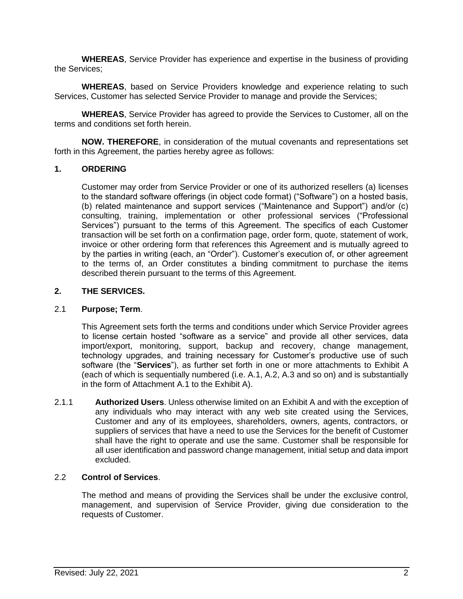**WHEREAS**, Service Provider has experience and expertise in the business of providing the Services;

**WHEREAS**, based on Service Providers knowledge and experience relating to such Services, Customer has selected Service Provider to manage and provide the Services;

**WHEREAS**, Service Provider has agreed to provide the Services to Customer, all on the terms and conditions set forth herein.

**NOW. THEREFORE**, in consideration of the mutual covenants and representations set forth in this Agreement, the parties hereby agree as follows:

### **1. ORDERING**

Customer may order from Service Provider or one of its authorized resellers (a) licenses to the standard software offerings (in object code format) ("Software") on a hosted basis, (b) related maintenance and support services ("Maintenance and Support") and/or (c) consulting, training, implementation or other professional services ("Professional Services") pursuant to the terms of this Agreement. The specifics of each Customer transaction will be set forth on a confirmation page, order form, quote, statement of work, invoice or other ordering form that references this Agreement and is mutually agreed to by the parties in writing (each, an "Order"). Customer's execution of, or other agreement to the terms of, an Order constitutes a binding commitment to purchase the items described therein pursuant to the terms of this Agreement.

### **2. THE SERVICES.**

#### 2.1 **Purpose; Term**.

This Agreement sets forth the terms and conditions under which Service Provider agrees to license certain hosted "software as a service" and provide all other services, data import/export, monitoring, support, backup and recovery, change management, technology upgrades, and training necessary for Customer's productive use of such software (the "**Services**"), as further set forth in one or more attachments to Exhibit A (each of which is sequentially numbered (i.e. A.1, A.2, A.3 and so on) and is substantially in the form of Attachment A.1 to the Exhibit A).

2.1.1 **Authorized Users**. Unless otherwise limited on an Exhibit A and with the exception of any individuals who may interact with any web site created using the Services, Customer and any of its employees, shareholders, owners, agents, contractors, or suppliers of services that have a need to use the Services for the benefit of Customer shall have the right to operate and use the same. Customer shall be responsible for all user identification and password change management, initial setup and data import excluded.

#### 2.2 **Control of Services**.

The method and means of providing the Services shall be under the exclusive control, management, and supervision of Service Provider, giving due consideration to the requests of Customer.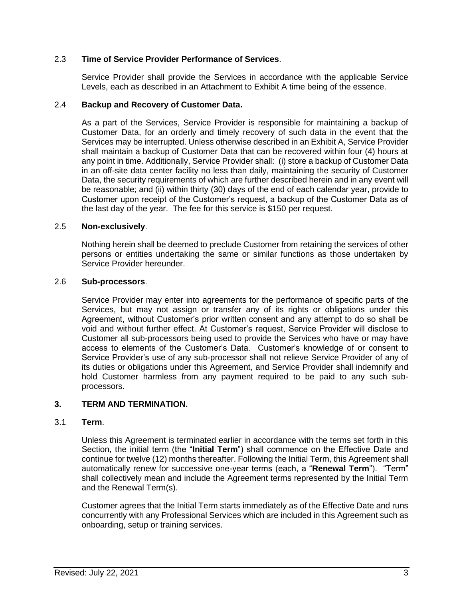## 2.3 **Time of Service Provider Performance of Services**.

Service Provider shall provide the Services in accordance with the applicable Service Levels, each as described in an Attachment to Exhibit A time being of the essence.

#### 2.4 **Backup and Recovery of Customer Data.**

As a part of the Services, Service Provider is responsible for maintaining a backup of Customer Data, for an orderly and timely recovery of such data in the event that the Services may be interrupted. Unless otherwise described in an Exhibit A, Service Provider shall maintain a backup of Customer Data that can be recovered within four (4) hours at any point in time. Additionally, Service Provider shall: (i) store a backup of Customer Data in an off-site data center facility no less than daily, maintaining the security of Customer Data, the security requirements of which are further described herein and in any event will be reasonable; and (ii) within thirty (30) days of the end of each calendar year, provide to Customer upon receipt of the Customer's request, a backup of the Customer Data as of the last day of the year. The fee for this service is \$150 per request.

### 2.5 **Non-exclusively**.

Nothing herein shall be deemed to preclude Customer from retaining the services of other persons or entities undertaking the same or similar functions as those undertaken by Service Provider hereunder.

#### 2.6 **Sub-processors**.

Service Provider may enter into agreements for the performance of specific parts of the Services, but may not assign or transfer any of its rights or obligations under this Agreement, without Customer's prior written consent and any attempt to do so shall be void and without further effect. At Customer's request, Service Provider will disclose to Customer all sub-processors being used to provide the Services who have or may have access to elements of the Customer's Data. Customer's knowledge of or consent to Service Provider's use of any sub-processor shall not relieve Service Provider of any of its duties or obligations under this Agreement, and Service Provider shall indemnify and hold Customer harmless from any payment required to be paid to any such subprocessors.

## **3. TERM AND TERMINATION.**

#### 3.1 **Term**.

Unless this Agreement is terminated earlier in accordance with the terms set forth in this Section, the initial term (the "**Initial Term**") shall commence on the Effective Date and continue for twelve (12) months thereafter. Following the Initial Term, this Agreement shall automatically renew for successive one-year terms (each, a "**Renewal Term**"). "Term" shall collectively mean and include the Agreement terms represented by the Initial Term and the Renewal Term(s).

Customer agrees that the Initial Term starts immediately as of the Effective Date and runs concurrently with any Professional Services which are included in this Agreement such as onboarding, setup or training services.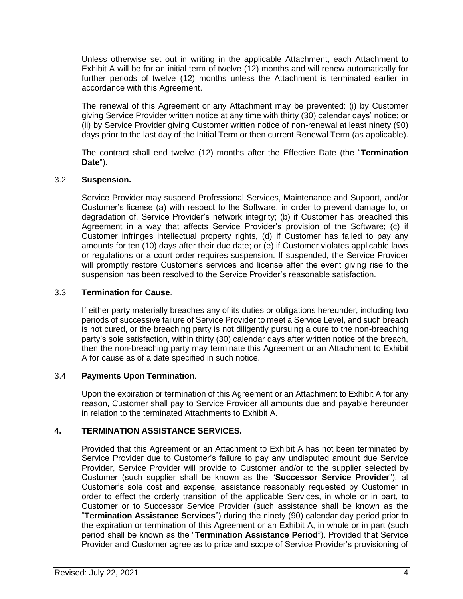Unless otherwise set out in writing in the applicable Attachment, each Attachment to Exhibit A will be for an initial term of twelve (12) months and will renew automatically for further periods of twelve (12) months unless the Attachment is terminated earlier in accordance with this Agreement.

The renewal of this Agreement or any Attachment may be prevented: (i) by Customer giving Service Provider written notice at any time with thirty (30) calendar days' notice; or (ii) by Service Provider giving Customer written notice of non-renewal at least ninety (90) days prior to the last day of the Initial Term or then current Renewal Term (as applicable).

The contract shall end twelve (12) months after the Effective Date (the "**Termination Date**").

## 3.2 **Suspension.**

Service Provider may suspend Professional Services, Maintenance and Support, and/or Customer's license (a) with respect to the Software, in order to prevent damage to, or degradation of, Service Provider's network integrity; (b) if Customer has breached this Agreement in a way that affects Service Provider's provision of the Software; (c) if Customer infringes intellectual property rights, (d) if Customer has failed to pay any amounts for ten (10) days after their due date; or (e) if Customer violates applicable laws or regulations or a court order requires suspension. If suspended, the Service Provider will promptly restore Customer's services and license after the event giving rise to the suspension has been resolved to the Service Provider's reasonable satisfaction.

### 3.3 **Termination for Cause**.

If either party materially breaches any of its duties or obligations hereunder, including two periods of successive failure of Service Provider to meet a Service Level, and such breach is not cured, or the breaching party is not diligently pursuing a cure to the non-breaching party's sole satisfaction, within thirty (30) calendar days after written notice of the breach, then the non-breaching party may terminate this Agreement or an Attachment to Exhibit A for cause as of a date specified in such notice.

#### 3.4 **Payments Upon Termination**.

Upon the expiration or termination of this Agreement or an Attachment to Exhibit A for any reason, Customer shall pay to Service Provider all amounts due and payable hereunder in relation to the terminated Attachments to Exhibit A.

## **4. TERMINATION ASSISTANCE SERVICES.**

Provided that this Agreement or an Attachment to Exhibit A has not been terminated by Service Provider due to Customer's failure to pay any undisputed amount due Service Provider, Service Provider will provide to Customer and/or to the supplier selected by Customer (such supplier shall be known as the "**Successor Service Provider**"), at Customer's sole cost and expense, assistance reasonably requested by Customer in order to effect the orderly transition of the applicable Services, in whole or in part, to Customer or to Successor Service Provider (such assistance shall be known as the "**Termination Assistance Services**") during the ninety (90) calendar day period prior to the expiration or termination of this Agreement or an Exhibit A, in whole or in part (such period shall be known as the "**Termination Assistance Period**"). Provided that Service Provider and Customer agree as to price and scope of Service Provider's provisioning of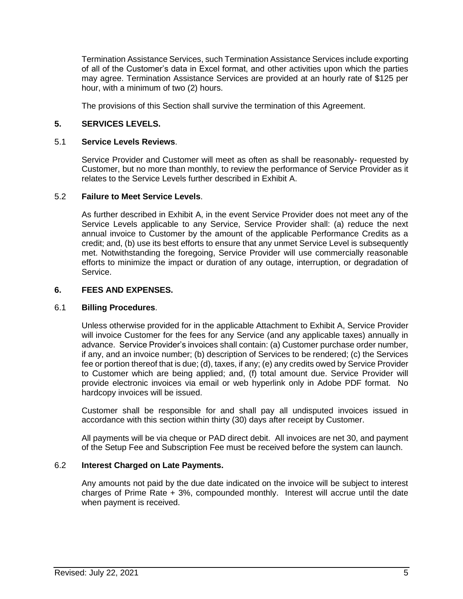Termination Assistance Services, such Termination Assistance Services include exporting of all of the Customer's data in Excel format, and other activities upon which the parties may agree. Termination Assistance Services are provided at an hourly rate of \$125 per hour, with a minimum of two (2) hours.

The provisions of this Section shall survive the termination of this Agreement.

## **5. SERVICES LEVELS.**

### 5.1 **Service Levels Reviews**.

Service Provider and Customer will meet as often as shall be reasonably- requested by Customer, but no more than monthly, to review the performance of Service Provider as it relates to the Service Levels further described in Exhibit A.

### 5.2 **Failure to Meet Service Levels**.

As further described in Exhibit A, in the event Service Provider does not meet any of the Service Levels applicable to any Service, Service Provider shall: (a) reduce the next annual invoice to Customer by the amount of the applicable Performance Credits as a credit; and, (b) use its best efforts to ensure that any unmet Service Level is subsequently met. Notwithstanding the foregoing, Service Provider will use commercially reasonable efforts to minimize the impact or duration of any outage, interruption, or degradation of Service.

### **6. FEES AND EXPENSES.**

## 6.1 **Billing Procedures**.

Unless otherwise provided for in the applicable Attachment to Exhibit A, Service Provider will invoice Customer for the fees for any Service (and any applicable taxes) annually in advance. Service Provider's invoices shall contain: (a) Customer purchase order number, if any, and an invoice number; (b) description of Services to be rendered; (c) the Services fee or portion thereof that is due; (d), taxes, if any; (e) any credits owed by Service Provider to Customer which are being applied; and, (f) total amount due. Service Provider will provide electronic invoices via email or web hyperlink only in Adobe PDF format. No hardcopy invoices will be issued.

Customer shall be responsible for and shall pay all undisputed invoices issued in accordance with this section within thirty (30) days after receipt by Customer.

All payments will be via cheque or PAD direct debit. All invoices are net 30, and payment of the Setup Fee and Subscription Fee must be received before the system can launch.

## 6.2 **Interest Charged on Late Payments.**

Any amounts not paid by the due date indicated on the invoice will be subject to interest charges of Prime Rate + 3%, compounded monthly. Interest will accrue until the date when payment is received.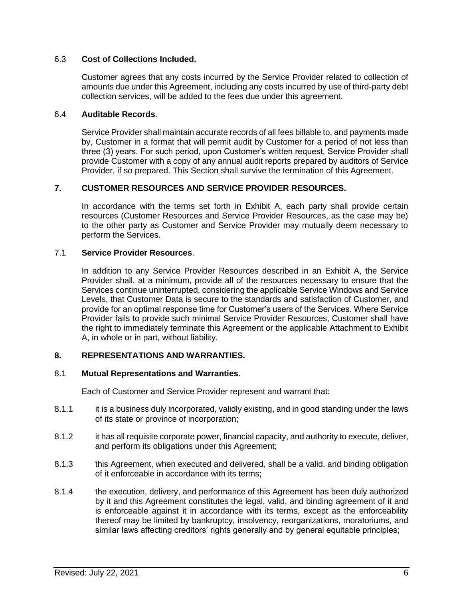### 6.3 **Cost of Collections Included.**

Customer agrees that any costs incurred by the Service Provider related to collection of amounts due under this Agreement, including any costs incurred by use of third-party debt collection services, will be added to the fees due under this agreement.

### 6.4 **Auditable Records**.

Service Provider shall maintain accurate records of all fees billable to, and payments made by, Customer in a format that will permit audit by Customer for a period of not less than three (3) years. For such period, upon Customer's written request, Service Provider shall provide Customer with a copy of any annual audit reports prepared by auditors of Service Provider, if so prepared. This Section shall survive the termination of this Agreement.

## **7. CUSTOMER RESOURCES AND SERVICE PROVIDER RESOURCES.**

In accordance with the terms set forth in Exhibit A, each party shall provide certain resources (Customer Resources and Service Provider Resources, as the case may be) to the other party as Customer and Service Provider may mutually deem necessary to perform the Services.

### 7.1 **Service Provider Resources**.

In addition to any Service Provider Resources described in an Exhibit A, the Service Provider shall, at a minimum, provide all of the resources necessary to ensure that the Services continue uninterrupted, considering the applicable Service Windows and Service Levels, that Customer Data is secure to the standards and satisfaction of Customer, and provide for an optimal response time for Customer's users of the Services. Where Service Provider fails to provide such minimal Service Provider Resources, Customer shall have the right to immediately terminate this Agreement or the applicable Attachment to Exhibit A, in whole or in part, without liability.

## **8. REPRESENTATIONS AND WARRANTIES.**

#### 8.1 **Mutual Representations and Warranties**.

Each of Customer and Service Provider represent and warrant that:

- 8.1.1 it is a business duly incorporated, validly existing, and in good standing under the laws of its state or province of incorporation;
- 8.1.2 it has all requisite corporate power, financial capacity, and authority to execute, deliver, and perform its obligations under this Agreement;
- 8.1.3 this Agreement, when executed and delivered, shall be a valid. and binding obligation of it enforceable in accordance with its terms;
- 8.1.4 the execution, delivery, and performance of this Agreement has been duly authorized by it and this Agreement constitutes the legal, valid, and binding agreement of it and is enforceable against it in accordance with its terms, except as the enforceability thereof may be limited by bankruptcy, insolvency, reorganizations, moratoriums, and similar laws affecting creditors' rights generally and by general equitable principles;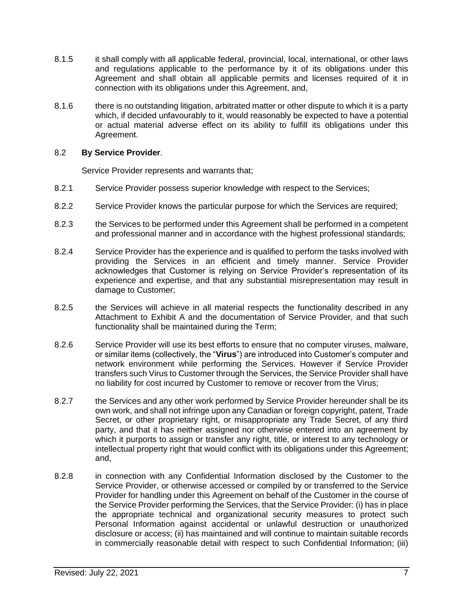- 8.1.5 it shall comply with all applicable federal, provincial, local, international, or other laws and regulations applicable to the performance by it of its obligations under this Agreement and shall obtain all applicable permits and licenses required of it in connection with its obligations under this Agreement, and,
- 8.1.6 there is no outstanding litigation, arbitrated matter or other dispute to which it is a party which, if decided unfavourably to it, would reasonably be expected to have a potential or actual material adverse effect on its ability to fulfill its obligations under this Agreement.

### 8.2 **By Service Provider**.

Service Provider represents and warrants that;

- 8.2.1 Service Provider possess superior knowledge with respect to the Services;
- 8.2.2 Service Provider knows the particular purpose for which the Services are required;
- 8.2.3 the Services to be performed under this Agreement shall be performed in a competent and professional manner and in accordance with the highest professional standards;
- 8.2.4 Service Provider has the experience and is qualified to perform the tasks involved with providing the Services in an efficient and timely manner. Service Provider acknowledges that Customer is relying on Service Provider's representation of its experience and expertise, and that any substantial misrepresentation may result in damage to Customer;
- 8.2.5 the Services will achieve in all material respects the functionality described in any Attachment to Exhibit A and the documentation of Service Provider, and that such functionality shall be maintained during the Term;
- 8.2.6 Service Provider will use its best efforts to ensure that no computer viruses, malware, or similar items (collectively, the "**Virus**") are introduced into Customer's computer and network environment while performing the Services. However if Service Provider transfers such Virus to Customer through the Services, the Service Provider shall have no liability for cost incurred by Customer to remove or recover from the Virus;
- 8.2.7 the Services and any other work performed by Service Provider hereunder shall be its own work, and shall not infringe upon any Canadian or foreign copyright, patent, Trade Secret, or other proprietary right, or misappropriate any Trade Secret, of any third party, and that it has neither assigned nor otherwise entered into an agreement by which it purports to assign or transfer any right, title, or interest to any technology or intellectual property right that would conflict with its obligations under this Agreement; and,
- 8.2.8 in connection with any Confidential Information disclosed by the Customer to the Service Provider, or otherwise accessed or compiled by or transferred to the Service Provider for handling under this Agreement on behalf of the Customer in the course of the Service Provider performing the Services, that the Service Provider: (i) has in place the appropriate technical and organizational security measures to protect such Personal Information against accidental or unlawful destruction or unauthorized disclosure or access; (ii) has maintained and will continue to maintain suitable records in commercially reasonable detail with respect to such Confidential Information; (iii)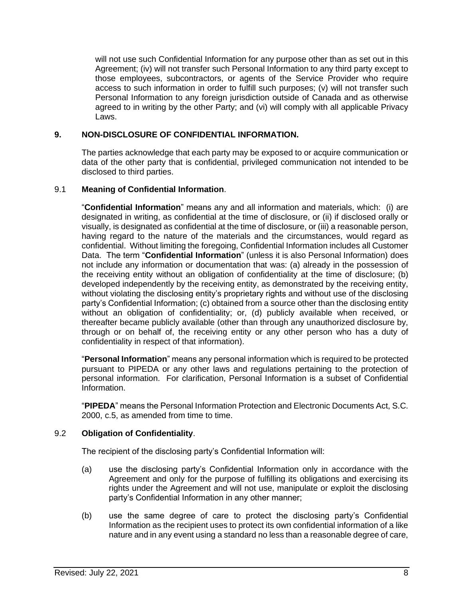will not use such Confidential Information for any purpose other than as set out in this Agreement; (iv) will not transfer such Personal Information to any third party except to those employees, subcontractors, or agents of the Service Provider who require access to such information in order to fulfill such purposes; (v) will not transfer such Personal Information to any foreign jurisdiction outside of Canada and as otherwise agreed to in writing by the other Party; and (vi) will comply with all applicable Privacy Laws.

## **9. NON-DISCLOSURE OF CONFIDENTIAL INFORMATION.**

The parties acknowledge that each party may be exposed to or acquire communication or data of the other party that is confidential, privileged communication not intended to be disclosed to third parties.

# 9.1 **Meaning of Confidential Information**.

"**Confidential Information**" means any and all information and materials, which: (i) are designated in writing, as confidential at the time of disclosure, or (ii) if disclosed orally or visually, is designated as confidential at the time of disclosure, or (iii) a reasonable person, having regard to the nature of the materials and the circumstances, would regard as confidential. Without limiting the foregoing, Confidential Information includes all Customer Data. The term "**Confidential Information**" (unless it is also Personal Information) does not include any information or documentation that was: (a) already in the possession of the receiving entity without an obligation of confidentiality at the time of disclosure; (b) developed independently by the receiving entity, as demonstrated by the receiving entity, without violating the disclosing entity's proprietary rights and without use of the disclosing party's Confidential Information; (c) obtained from a source other than the disclosing entity without an obligation of confidentiality; or, (d) publicly available when received, or thereafter became publicly available (other than through any unauthorized disclosure by, through or on behalf of, the receiving entity or any other person who has a duty of confidentiality in respect of that information).

"**Personal Information**" means any personal information which is required to be protected pursuant to PIPEDA or any other laws and regulations pertaining to the protection of personal information. For clarification, Personal Information is a subset of Confidential Information.

"**PIPEDA**" means the Personal Information Protection and Electronic Documents Act, S.C. 2000, c.5, as amended from time to time.

## 9.2 **Obligation of Confidentiality**.

The recipient of the disclosing party's Confidential Information will:

- (a) use the disclosing party's Confidential Information only in accordance with the Agreement and only for the purpose of fulfilling its obligations and exercising its rights under the Agreement and will not use, manipulate or exploit the disclosing party's Confidential Information in any other manner;
- (b) use the same degree of care to protect the disclosing party's Confidential Information as the recipient uses to protect its own confidential information of a like nature and in any event using a standard no less than a reasonable degree of care,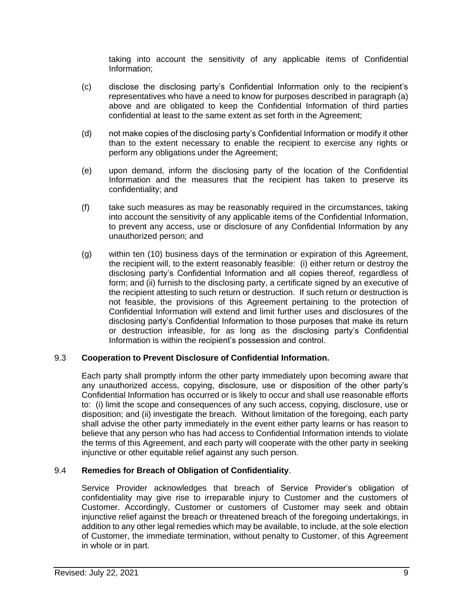taking into account the sensitivity of any applicable items of Confidential Information;

- (c) disclose the disclosing party's Confidential Information only to the recipient's representatives who have a need to know for purposes described in paragraph (a) above and are obligated to keep the Confidential Information of third parties confidential at least to the same extent as set forth in the Agreement;
- (d) not make copies of the disclosing party's Confidential Information or modify it other than to the extent necessary to enable the recipient to exercise any rights or perform any obligations under the Agreement;
- (e) upon demand, inform the disclosing party of the location of the Confidential Information and the measures that the recipient has taken to preserve its confidentiality; and
- (f) take such measures as may be reasonably required in the circumstances, taking into account the sensitivity of any applicable items of the Confidential Information, to prevent any access, use or disclosure of any Confidential Information by any unauthorized person; and
- (g) within ten (10) business days of the termination or expiration of this Agreement, the recipient will, to the extent reasonably feasible: (i) either return or destroy the disclosing party's Confidential Information and all copies thereof, regardless of form; and (ii) furnish to the disclosing party, a certificate signed by an executive of the recipient attesting to such return or destruction. If such return or destruction is not feasible, the provisions of this Agreement pertaining to the protection of Confidential Information will extend and limit further uses and disclosures of the disclosing party's Confidential Information to those purposes that make its return or destruction infeasible, for as long as the disclosing party's Confidential Information is within the recipient's possession and control.

## 9.3 **Cooperation to Prevent Disclosure of Confidential Information.**

Each party shall promptly inform the other party immediately upon becoming aware that any unauthorized access, copying, disclosure, use or disposition of the other party's Confidential Information has occurred or is likely to occur and shall use reasonable efforts to: (i) limit the scope and consequences of any such access, copying, disclosure, use or disposition; and (ii) investigate the breach. Without limitation of the foregoing, each party shall advise the other party immediately in the event either party learns or has reason to believe that any person who has had access to Confidential Information intends to violate the terms of this Agreement, and each party will cooperate with the other party in seeking injunctive or other equitable relief against any such person.

# 9.4 **Remedies for Breach of Obligation of Confidentiality**.

Service Provider acknowledges that breach of Service Provider's obligation of confidentiality may give rise to irreparable injury to Customer and the customers of Customer. Accordingly, Customer or customers of Customer may seek and obtain injunctive relief against the breach or threatened breach of the foregoing undertakings, in addition to any other legal remedies which may be available, to include, at the sole election of Customer, the immediate termination, without penalty to Customer, of this Agreement in whole or in part.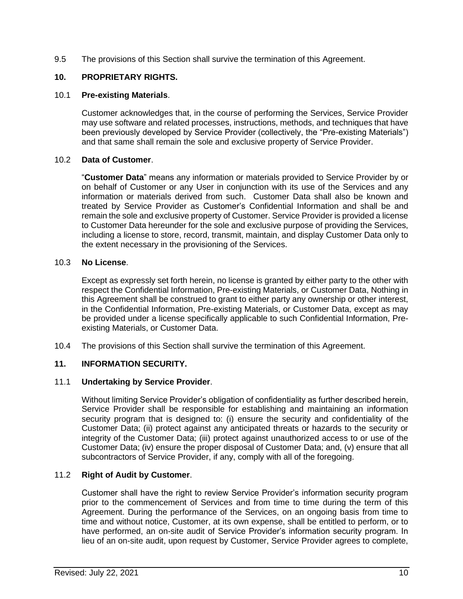9.5 The provisions of this Section shall survive the termination of this Agreement.

# **10. PROPRIETARY RIGHTS.**

# 10.1 **Pre-existing Materials**.

Customer acknowledges that, in the course of performing the Services, Service Provider may use software and related processes, instructions, methods, and techniques that have been previously developed by Service Provider (collectively, the "Pre-existing Materials") and that same shall remain the sole and exclusive property of Service Provider.

## 10.2 **Data of Customer**.

"**Customer Data**" means any information or materials provided to Service Provider by or on behalf of Customer or any User in conjunction with its use of the Services and any information or materials derived from such. Customer Data shall also be known and treated by Service Provider as Customer's Confidential Information and shall be and remain the sole and exclusive property of Customer. Service Provider is provided a license to Customer Data hereunder for the sole and exclusive purpose of providing the Services, including a license to store, record, transmit, maintain, and display Customer Data only to the extent necessary in the provisioning of the Services.

# 10.3 **No License**.

Except as expressly set forth herein, no license is granted by either party to the other with respect the Confidential Information, Pre-existing Materials, or Customer Data, Nothing in this Agreement shall be construed to grant to either party any ownership or other interest, in the Confidential Information, Pre-existing Materials, or Customer Data, except as may be provided under a license specifically applicable to such Confidential Information, Preexisting Materials, or Customer Data.

10.4 The provisions of this Section shall survive the termination of this Agreement.

# **11. INFORMATION SECURITY.**

## 11.1 **Undertaking by Service Provider**.

Without limiting Service Provider's obligation of confidentiality as further described herein, Service Provider shall be responsible for establishing and maintaining an information security program that is designed to: (i) ensure the security and confidentiality of the Customer Data; (ii) protect against any anticipated threats or hazards to the security or integrity of the Customer Data; (iii) protect against unauthorized access to or use of the Customer Data; (iv) ensure the proper disposal of Customer Data; and, (v) ensure that all subcontractors of Service Provider, if any, comply with all of the foregoing.

# 11.2 **Right of Audit by Customer**.

Customer shall have the right to review Service Provider's information security program prior to the commencement of Services and from time to time during the term of this Agreement. During the performance of the Services, on an ongoing basis from time to time and without notice, Customer, at its own expense, shall be entitled to perform, or to have performed, an on-site audit of Service Provider's information security program. In lieu of an on-site audit, upon request by Customer, Service Provider agrees to complete,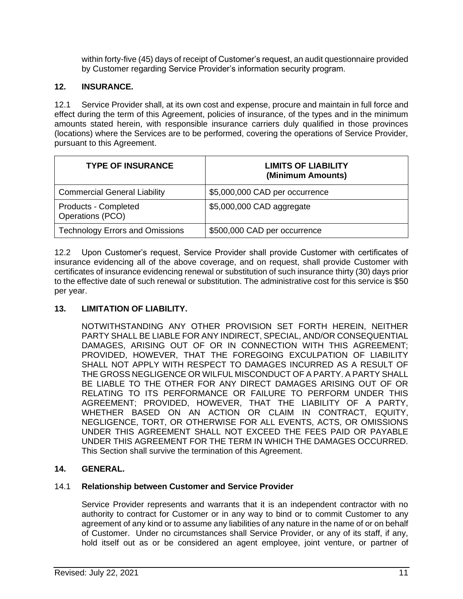within forty-five (45) days of receipt of Customer's request, an audit questionnaire provided by Customer regarding Service Provider's information security program.

# **12. INSURANCE.**

12.1 Service Provider shall, at its own cost and expense, procure and maintain in full force and effect during the term of this Agreement, policies of insurance, of the types and in the minimum amounts stated herein, with responsible insurance carriers duly qualified in those provinces (locations) where the Services are to be performed, covering the operations of Service Provider, pursuant to this Agreement.

| <b>TYPE OF INSURANCE</b>                 | <b>LIMITS OF LIABILITY</b><br>(Minimum Amounts) |
|------------------------------------------|-------------------------------------------------|
| <b>Commercial General Liability</b>      | \$5,000,000 CAD per occurrence                  |
| Products - Completed<br>Operations (PCO) | \$5,000,000 CAD aggregate                       |
| <b>Technology Errors and Omissions</b>   | \$500,000 CAD per occurrence                    |

12.2 Upon Customer's request, Service Provider shall provide Customer with certificates of insurance evidencing all of the above coverage, and on request, shall provide Customer with certificates of insurance evidencing renewal or substitution of such insurance thirty (30) days prior to the effective date of such renewal or substitution. The administrative cost for this service is \$50 per year.

# **13. LIMITATION OF LIABILITY.**

NOTWITHSTANDING ANY OTHER PROVISION SET FORTH HEREIN, NEITHER PARTY SHALL BE LIABLE FOR ANY INDIRECT, SPECIAL, AND/OR CONSEQUENTIAL DAMAGES, ARISING OUT OF OR IN CONNECTION WITH THIS AGREEMENT; PROVIDED, HOWEVER, THAT THE FOREGOING EXCULPATION OF LIABILITY SHALL NOT APPLY WITH RESPECT TO DAMAGES INCURRED AS A RESULT OF THE GROSS NEGLIGENCE OR WILFUL MISCONDUCT OF A PARTY. A PARTY SHALL BE LIABLE TO THE OTHER FOR ANY DIRECT DAMAGES ARISING OUT OF OR RELATING TO ITS PERFORMANCE OR FAILURE TO PERFORM UNDER THIS AGREEMENT; PROVIDED, HOWEVER, THAT THE LIABILITY OF A PARTY, WHETHER BASED ON AN ACTION OR CLAIM IN CONTRACT, EQUITY, NEGLIGENCE, TORT, OR OTHERWISE FOR ALL EVENTS, ACTS, OR OMISSIONS UNDER THIS AGREEMENT SHALL NOT EXCEED THE FEES PAID OR PAYABLE UNDER THIS AGREEMENT FOR THE TERM IN WHICH THE DAMAGES OCCURRED. This Section shall survive the termination of this Agreement.

# **14. GENERAL.**

# 14.1 **Relationship between Customer and Service Provider**

Service Provider represents and warrants that it is an independent contractor with no authority to contract for Customer or in any way to bind or to commit Customer to any agreement of any kind or to assume any liabilities of any nature in the name of or on behalf of Customer. Under no circumstances shall Service Provider, or any of its staff, if any, hold itself out as or be considered an agent employee, joint venture, or partner of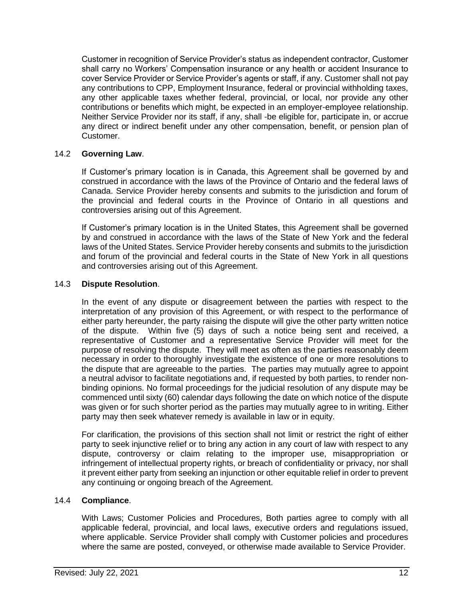Customer in recognition of Service Provider's status as independent contractor, Customer shall carry no Workers' Compensation insurance or any health or accident Insurance to cover Service Provider or Service Provider's agents or staff, if any. Customer shall not pay any contributions to CPP, Employment Insurance, federal or provincial withholding taxes, any other applicable taxes whether federal, provincial, or local, nor provide any other contributions or benefits which might, be expected in an employer-employee relationship. Neither Service Provider nor its staff, if any, shall -be eligible for, participate in, or accrue any direct or indirect benefit under any other compensation, benefit, or pension plan of Customer.

## 14.2 **Governing Law**.

If Customer's primary location is in Canada, this Agreement shall be governed by and construed in accordance with the laws of the Province of Ontario and the federal laws of Canada. Service Provider hereby consents and submits to the jurisdiction and forum of the provincial and federal courts in the Province of Ontario in all questions and controversies arising out of this Agreement.

If Customer's primary location is in the United States, this Agreement shall be governed by and construed in accordance with the laws of the State of New York and the federal laws of the United States. Service Provider hereby consents and submits to the jurisdiction and forum of the provincial and federal courts in the State of New York in all questions and controversies arising out of this Agreement.

### 14.3 **Dispute Resolution**.

In the event of any dispute or disagreement between the parties with respect to the interpretation of any provision of this Agreement, or with respect to the performance of either party hereunder, the party raising the dispute will give the other party written notice of the dispute. Within five (5) days of such a notice being sent and received, a representative of Customer and a representative Service Provider will meet for the purpose of resolving the dispute. They will meet as often as the parties reasonably deem necessary in order to thoroughly investigate the existence of one or more resolutions to the dispute that are agreeable to the parties. The parties may mutually agree to appoint a neutral advisor to facilitate negotiations and, if requested by both parties, to render nonbinding opinions. No formal proceedings for the judicial resolution of any dispute may be commenced until sixty (60) calendar days following the date on which notice of the dispute was given or for such shorter period as the parties may mutually agree to in writing. Either party may then seek whatever remedy is available in law or in equity.

For clarification, the provisions of this section shall not limit or restrict the right of either party to seek injunctive relief or to bring any action in any court of law with respect to any dispute, controversy or claim relating to the improper use, misappropriation or infringement of intellectual property rights, or breach of confidentiality or privacy, nor shall it prevent either party from seeking an injunction or other equitable relief in order to prevent any continuing or ongoing breach of the Agreement.

#### 14.4 **Compliance**.

With Laws; Customer Policies and Procedures, Both parties agree to comply with all applicable federal, provincial, and local laws, executive orders and regulations issued, where applicable. Service Provider shall comply with Customer policies and procedures where the same are posted, conveyed, or otherwise made available to Service Provider.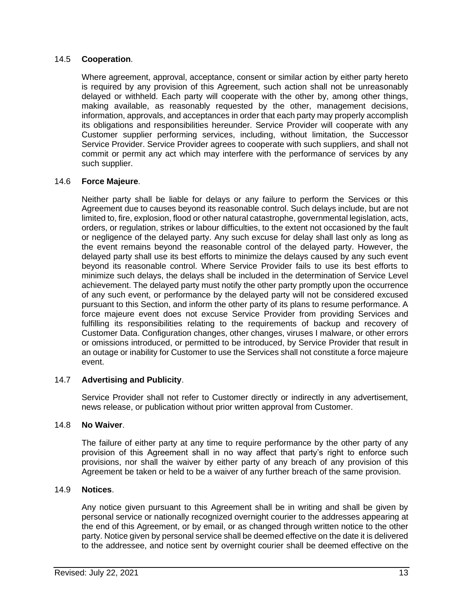## 14.5 **Cooperation**.

Where agreement, approval, acceptance, consent or similar action by either party hereto is required by any provision of this Agreement, such action shall not be unreasonably delayed or withheld. Each party will cooperate with the other by, among other things, making available, as reasonably requested by the other, management decisions, information, approvals, and acceptances in order that each party may properly accomplish its obligations and responsibilities hereunder. Service Provider will cooperate with any Customer supplier performing services, including, without limitation, the Successor Service Provider. Service Provider agrees to cooperate with such suppliers, and shall not commit or permit any act which may interfere with the performance of services by any such supplier.

## 14.6 **Force Majeure**.

Neither party shall be liable for delays or any failure to perform the Services or this Agreement due to causes beyond its reasonable control. Such delays include, but are not limited to, fire, explosion, flood or other natural catastrophe, governmental legislation, acts, orders, or regulation, strikes or labour difficulties, to the extent not occasioned by the fault or negligence of the delayed party. Any such excuse for delay shall last only as long as the event remains beyond the reasonable control of the delayed party. However, the delayed party shall use its best efforts to minimize the delays caused by any such event beyond its reasonable control. Where Service Provider fails to use its best efforts to minimize such delays, the delays shall be included in the determination of Service Level achievement. The delayed party must notify the other party promptly upon the occurrence of any such event, or performance by the delayed party will not be considered excused pursuant to this Section, and inform the other party of its plans to resume performance. A force majeure event does not excuse Service Provider from providing Services and fulfilling its responsibilities relating to the requirements of backup and recovery of Customer Data. Configuration changes, other changes, viruses I malware, or other errors or omissions introduced, or permitted to be introduced, by Service Provider that result in an outage or inability for Customer to use the Services shall not constitute a force majeure event.

## 14.7 **Advertising and Publicity**.

Service Provider shall not refer to Customer directly or indirectly in any advertisement, news release, or publication without prior written approval from Customer.

# 14.8 **No Waiver**.

The failure of either party at any time to require performance by the other party of any provision of this Agreement shall in no way affect that party's right to enforce such provisions, nor shall the waiver by either party of any breach of any provision of this Agreement be taken or held to be a waiver of any further breach of the same provision.

## 14.9 **Notices**.

Any notice given pursuant to this Agreement shall be in writing and shall be given by personal service or nationally recognized overnight courier to the addresses appearing at the end of this Agreement, or by email, or as changed through written notice to the other party. Notice given by personal service shall be deemed effective on the date it is delivered to the addressee, and notice sent by overnight courier shall be deemed effective on the